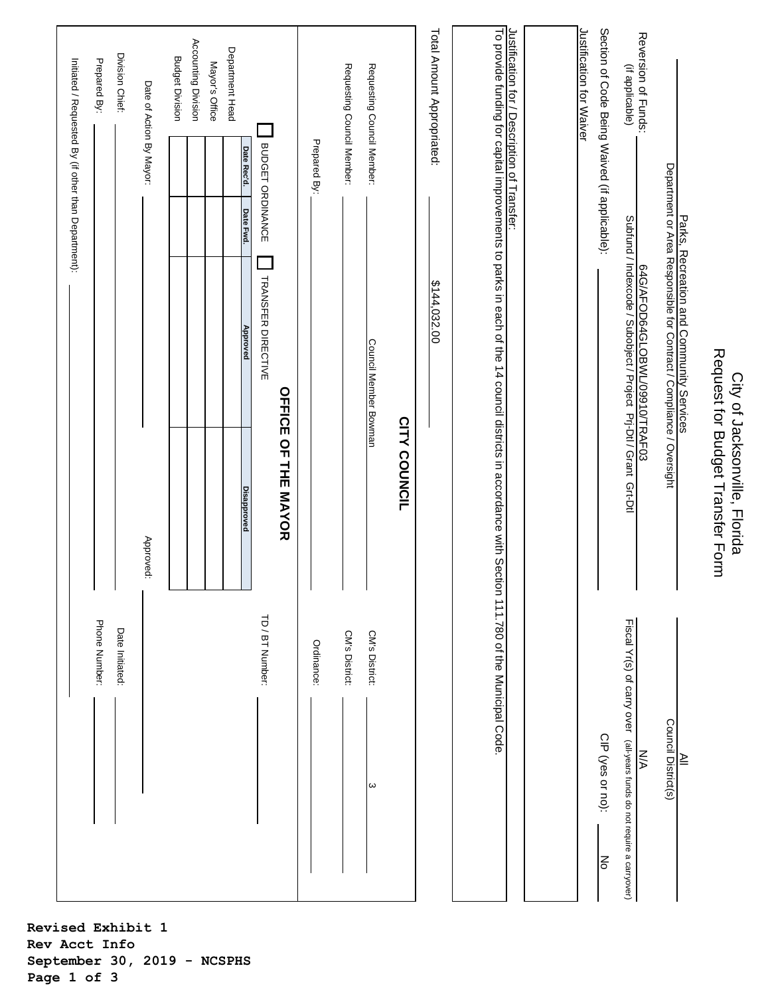| Phone Number:                                                                 | $\mathbf{I}$                                                                                                                                       |                                                                                                    | Prepared By:<br>Initiated / Requested By (if other than Department): |
|-------------------------------------------------------------------------------|----------------------------------------------------------------------------------------------------------------------------------------------------|----------------------------------------------------------------------------------------------------|----------------------------------------------------------------------|
| Date Initiated:                                                               | $\mathbf{I}$                                                                                                                                       |                                                                                                    | Division Chief:                                                      |
|                                                                               | Approved:                                                                                                                                          |                                                                                                    | Date of Action By Mayor:                                             |
|                                                                               |                                                                                                                                                    |                                                                                                    | <b>Budget Division</b>                                               |
|                                                                               |                                                                                                                                                    |                                                                                                    | Accounting Division                                                  |
|                                                                               |                                                                                                                                                    |                                                                                                    | Mayor's Office                                                       |
|                                                                               | <b>Disapproved</b>                                                                                                                                 | Date Fwd.<br>Approved                                                                              | Department Head<br>Date Rec'd.                                       |
| TD / BT Number:                                                               |                                                                                                                                                    | TRANSFER DIRECTIVE                                                                                 | BUDGET ORDINANCE                                                     |
|                                                                               | <b>OFFICE OF THE MAYOR</b>                                                                                                                         |                                                                                                    |                                                                      |
| Ordinance:                                                                    | J.                                                                                                                                                 |                                                                                                    | Prepared By:                                                         |
|                                                                               | $\mathbf{I}$                                                                                                                                       |                                                                                                    |                                                                      |
| CM's District:                                                                |                                                                                                                                                    |                                                                                                    | Requesting Council Member:                                           |
| CM's District:<br>ω                                                           | Council Member Bowman                                                                                                                              |                                                                                                    | Requesting Council Member:                                           |
|                                                                               | <b>CITY COUNCIL</b>                                                                                                                                |                                                                                                    |                                                                      |
|                                                                               |                                                                                                                                                    | \$144,032.00                                                                                       | Total Amount Appropriated:                                           |
|                                                                               | To provide funding for capital improvements to parks in each of the 14 council districts in accordance with Section 111.780 of the Municipal Code. |                                                                                                    |                                                                      |
|                                                                               |                                                                                                                                                    |                                                                                                    | Justification for / Description of Transfer:                         |
|                                                                               |                                                                                                                                                    |                                                                                                    |                                                                      |
|                                                                               |                                                                                                                                                    |                                                                                                    | Justification for Waiver                                             |
| CIP (yes or no):<br>ļξ                                                        |                                                                                                                                                    |                                                                                                    | Section of Code Being Waived (if applicable):                        |
| Fiscal Yr(s) of carry over (all-years funds do not require a carryover)<br>ŠХ |                                                                                                                                                    | Subfund / Indexcode / Subobject / Project Pri-Dtl / Grant Grt-Dtl<br>64G/AFOD64GLOBWL/09910/TRAF03 | Reversion of Funds:<br>(if applicable)                               |
| Council District(s)                                                           |                                                                                                                                                    | Department or Area Responsible for Contract / Compliance / Oversight                               |                                                                      |
| $\cong$                                                                       |                                                                                                                                                    | Parks, Recreation and Community Services                                                           |                                                                      |
|                                                                               | Request for Budget Transfer Form                                                                                                                   |                                                                                                    |                                                                      |

City of Jacksonville, Florida

City of Jacksonville, Florida

**Revised Exhibit 1 Rev Acct Info September 30, 2019 - NCSPHS Page 1 of 3**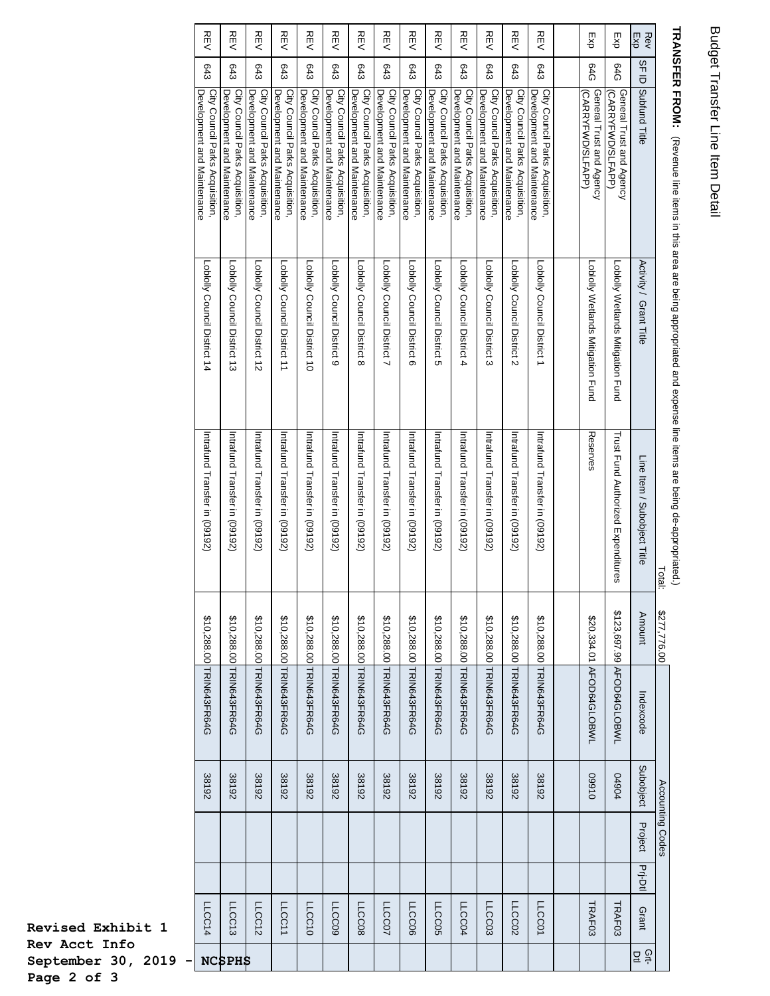## Budget Transfer Line Item Detail Budget Transfer Line Item Detail

| Subobject<br>38192<br>38192<br>38192<br>38192<br>38192<br>38192<br>38192<br>38192<br>38192<br>38192<br>38192<br>01660<br><b>49044</b><br>38192<br>38192<br>38192<br>Project<br>Prj-Dtl | \$123,697.99 AFOD64GLOBWL<br>\$10,288.00 TRIN643FR64G<br>\$10,288.00 TRIN643FR64G<br>\$10,288.00 TRIN643FR64G<br>\$10,288.00 TRIN643FR64G<br>\$10,288.00 TRIN643FR64G<br>\$10,288.00 TRIN643FR64G<br>\$10,288.00 TRIN643FR64G<br>\$20,334.01 AFOD64GLOBWL<br>\$10,288.00 TRIN643FR64G<br>\$10,288.00 TRIN643FR64G<br>\$10,288.00 TRIN643FR64G<br>\$10,288.00 TRIN643FR64G<br>\$10,288.00 TRIN643FR64G<br>\$10,288.00 TRIN643FR64G<br>\$10,288.00 TRIN643FR64G | Reserves<br>Trust Fund Authorized Expenditures<br>Intrafund Transfer in (09192)<br>Intrafund Transfer in (09192)<br>Intrafund Transfer in (09192)<br>Intrafund Transfer in (09192)<br>Intratund Transfer in (09192)<br>Intrafund Transfer in (09192)<br>Intrafund Transfer in (09192)<br>Intrafund Transfer in (09192)<br>Intrafund Transfer in (09192)<br>Intrafund Transfer in (09192)<br>Intrafund Transfer in (09192)<br>Intratund Transfer in (09192)<br>htrafund Transfer in (09192)<br>htrafund Transfer in (09192) | Lobloly Council District 12<br>Loblolly Council District 11<br>Lobloy Council District 10<br>Loblolly Council District 14<br>Loblolly Council District 9<br>Loblow Council District 8<br>Lobloy Council District 7<br>Loblolly Council District 6<br>Loblolly Wetlands Mitigation Fund<br>Loblolly Council District 13<br>Loblow Council District 5<br>Loblolly Council District 4<br>-olly Council District 3<br>-ololy Wetlands Mitigation Fund<br>-ohly Council District 2<br>-dolly Concil District 1 | 54G<br>94G<br><b>643</b><br><b>643</b><br><b>643</b><br><b>643</b><br><b>643</b><br>643<br><b>643</b><br><b>643</b><br>643<br>643<br>643<br>643<br>643<br>643<br>Development and Maintenance<br>City Council Parks Acquisition,<br>City Council Parks Acquisition,<br>City Council Parks Acquisition,<br>City Council Parks Acquisition,<br>City Council Parks Acquisition,<br>City Council Parks Acquisition,<br>City Council Parks Acquisition,<br>General Trust and Agency<br>City Council Parks Acquisition,<br>City Council Parks Acquisition,<br>City Council Parks Acquisition,<br>City Council Parks Acquisition,<br>City Council Parks Acquisition,<br>City Council Parks Acquisition,<br>City Council Parks Acquisition,<br>General Trust and Agency<br>Development and Maintenance<br>Development and Maintenance<br>Development and Maintenance<br>Development and Maintenance<br>Development and Maintenance<br>Development and Maintenance<br>Development and Maintenance<br>Development and Maintenance<br>Development and Maintenance<br>Development and Maintenance<br>Development and Maintenance<br>Development and Maintenance<br>Development and Maintenance<br>(CARRYFWD/SLFAPP)<br>OARRYFVOOSLLAPP |
|----------------------------------------------------------------------------------------------------------------------------------------------------------------------------------------|---------------------------------------------------------------------------------------------------------------------------------------------------------------------------------------------------------------------------------------------------------------------------------------------------------------------------------------------------------------------------------------------------------------------------------------------------------------|----------------------------------------------------------------------------------------------------------------------------------------------------------------------------------------------------------------------------------------------------------------------------------------------------------------------------------------------------------------------------------------------------------------------------------------------------------------------------------------------------------------------------|-----------------------------------------------------------------------------------------------------------------------------------------------------------------------------------------------------------------------------------------------------------------------------------------------------------------------------------------------------------------------------------------------------------------------------------------------------------------------------------------------------------|---------------------------------------------------------------------------------------------------------------------------------------------------------------------------------------------------------------------------------------------------------------------------------------------------------------------------------------------------------------------------------------------------------------------------------------------------------------------------------------------------------------------------------------------------------------------------------------------------------------------------------------------------------------------------------------------------------------------------------------------------------------------------------------------------------------------------------------------------------------------------------------------------------------------------------------------------------------------------------------------------------------------------------------------------------------------------------------------------------------------------------------------------------------------------------------------------------------------------|
| Indexcode                                                                                                                                                                              | <b>Amount</b>                                                                                                                                                                                                                                                                                                                                                                                                                                                 | Line Item / Subobject Title                                                                                                                                                                                                                                                                                                                                                                                                                                                                                                |                                                                                                                                                                                                                                                                                                                                                                                                                                                                                                           | SF <sub>ID</sub><br>Subfund Title<br>Activity / Grant Title                                                                                                                                                                                                                                                                                                                                                                                                                                                                                                                                                                                                                                                                                                                                                                                                                                                                                                                                                                                                                                                                                                                                                               |
|                                                                                                                                                                                        |                                                                                                                                                                                                                                                                                                                                                                                                                                                               |                                                                                                                                                                                                                                                                                                                                                                                                                                                                                                                            |                                                                                                                                                                                                                                                                                                                                                                                                                                                                                                           |                                                                                                                                                                                                                                                                                                                                                                                                                                                                                                                                                                                                                                                                                                                                                                                                                                                                                                                                                                                                                                                                                                                                                                                                                           |

## **HRANSHER FROM:** (Revenue line riens in this area are being appropriated and expense line irems are being de-appropriated.) **TRANSFER FROM:** (Revenue line items in this area are being appropriated and expense line items are being de-appropriated.)

Τ

 $\mathbf{I}$ 

H. H Т

**Revised Exhibit 1 Rev Acct Info**  September 30, 2019 - NC **Page 2 of 3**

T

H